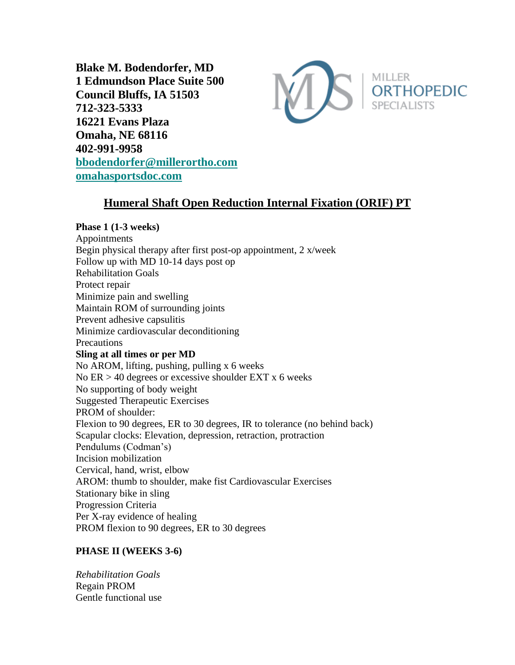**Blake M. Bodendorfer, MD 1 Edmundson Place Suite 500 Council Bluffs, IA 51503 712-323-5333 16221 Evans Plaza Omaha, NE 68116 402-991-9958 [bbodendorfer@millerortho.com](mailto:bbodendorfer@millerortho.com) [omahasportsdoc.com](http://www.omahasportsdoc.com/)**



# **Humeral Shaft Open Reduction Internal Fixation (ORIF) PT**

### **Phase 1 (1-3 weeks)**

Appointments Begin physical therapy after first post-op appointment, 2 x/week Follow up with MD 10-14 days post op Rehabilitation Goals Protect repair Minimize pain and swelling Maintain ROM of surrounding joints Prevent adhesive capsulitis Minimize cardiovascular deconditioning **Precautions Sling at all times or per MD** No AROM, lifting, pushing, pulling x 6 weeks No  $ER > 40$  degrees or excessive shoulder  $EXT x$  6 weeks No supporting of body weight Suggested Therapeutic Exercises PROM of shoulder: Flexion to 90 degrees, ER to 30 degrees, IR to tolerance (no behind back) Scapular clocks: Elevation, depression, retraction, protraction Pendulums (Codman's) Incision mobilization Cervical, hand, wrist, elbow AROM: thumb to shoulder, make fist Cardiovascular Exercises Stationary bike in sling Progression Criteria Per X-ray evidence of healing PROM flexion to 90 degrees, ER to 30 degrees

## **PHASE II (WEEKS 3-6)**

*Rehabilitation Goals* Regain PROM Gentle functional use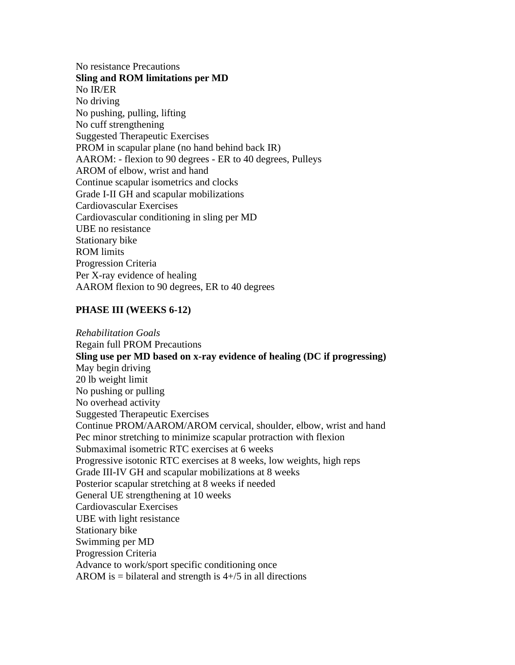No resistance Precautions **Sling and ROM limitations per MD** No IR/ER No driving No pushing, pulling, lifting No cuff strengthening Suggested Therapeutic Exercises PROM in scapular plane (no hand behind back IR) AAROM: - flexion to 90 degrees - ER to 40 degrees, Pulleys AROM of elbow, wrist and hand Continue scapular isometrics and clocks Grade I-II GH and scapular mobilizations Cardiovascular Exercises Cardiovascular conditioning in sling per MD UBE no resistance Stationary bike ROM limits Progression Criteria Per X-ray evidence of healing AAROM flexion to 90 degrees, ER to 40 degrees

#### **PHASE III (WEEKS 6-12)**

*Rehabilitation Goals* Regain full PROM Precautions **Sling use per MD based on x-ray evidence of healing (DC if progressing)** May begin driving 20 lb weight limit No pushing or pulling No overhead activity Suggested Therapeutic Exercises Continue PROM/AAROM/AROM cervical, shoulder, elbow, wrist and hand Pec minor stretching to minimize scapular protraction with flexion Submaximal isometric RTC exercises at 6 weeks Progressive isotonic RTC exercises at 8 weeks, low weights, high reps Grade III-IV GH and scapular mobilizations at 8 weeks Posterior scapular stretching at 8 weeks if needed General UE strengthening at 10 weeks Cardiovascular Exercises UBE with light resistance Stationary bike Swimming per MD Progression Criteria Advance to work/sport specific conditioning once AROM is  $=$  bilateral and strength is  $4+/5$  in all directions